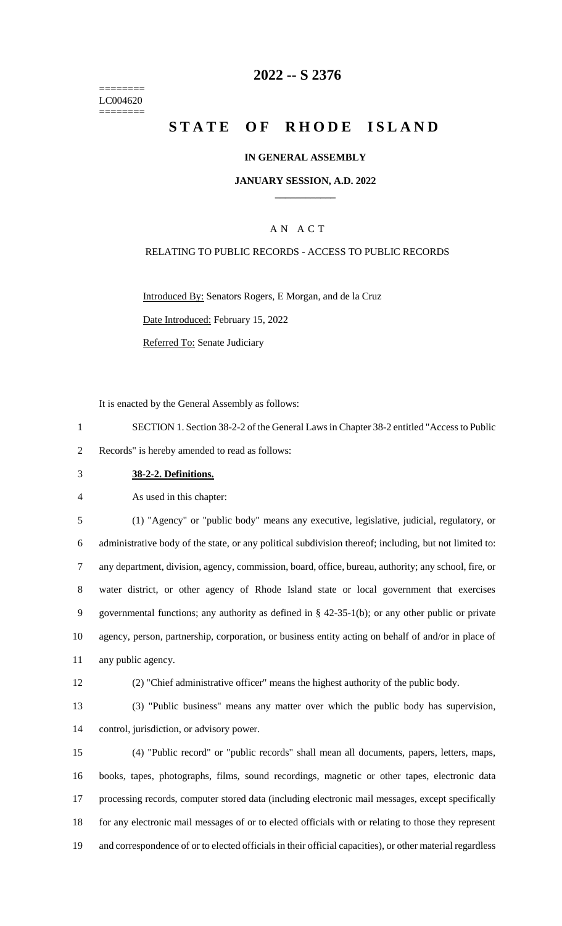======== LC004620 ========

# **-- S 2376**

# **STATE OF RHODE ISLAND**

#### **IN GENERAL ASSEMBLY**

#### **JANUARY SESSION, A.D. 2022 \_\_\_\_\_\_\_\_\_\_\_\_**

### A N A C T

#### RELATING TO PUBLIC RECORDS - ACCESS TO PUBLIC RECORDS

Introduced By: Senators Rogers, E Morgan, and de la Cruz

Date Introduced: February 15, 2022

Referred To: Senate Judiciary

It is enacted by the General Assembly as follows:

 SECTION 1. Section 38-2-2 of the General Laws in Chapter 38-2 entitled "Access to Public Records" is hereby amended to read as follows:

**38-2-2. Definitions.**

As used in this chapter:

 (1) "Agency" or "public body" means any executive, legislative, judicial, regulatory, or administrative body of the state, or any political subdivision thereof; including, but not limited to: any department, division, agency, commission, board, office, bureau, authority; any school, fire, or water district, or other agency of Rhode Island state or local government that exercises governmental functions; any authority as defined in § 42-35-1(b); or any other public or private agency, person, partnership, corporation, or business entity acting on behalf of and/or in place of any public agency.

(2) "Chief administrative officer" means the highest authority of the public body.

 (3) "Public business" means any matter over which the public body has supervision, control, jurisdiction, or advisory power.

 (4) "Public record" or "public records" shall mean all documents, papers, letters, maps, books, tapes, photographs, films, sound recordings, magnetic or other tapes, electronic data processing records, computer stored data (including electronic mail messages, except specifically for any electronic mail messages of or to elected officials with or relating to those they represent and correspondence of or to elected officials in their official capacities), or other material regardless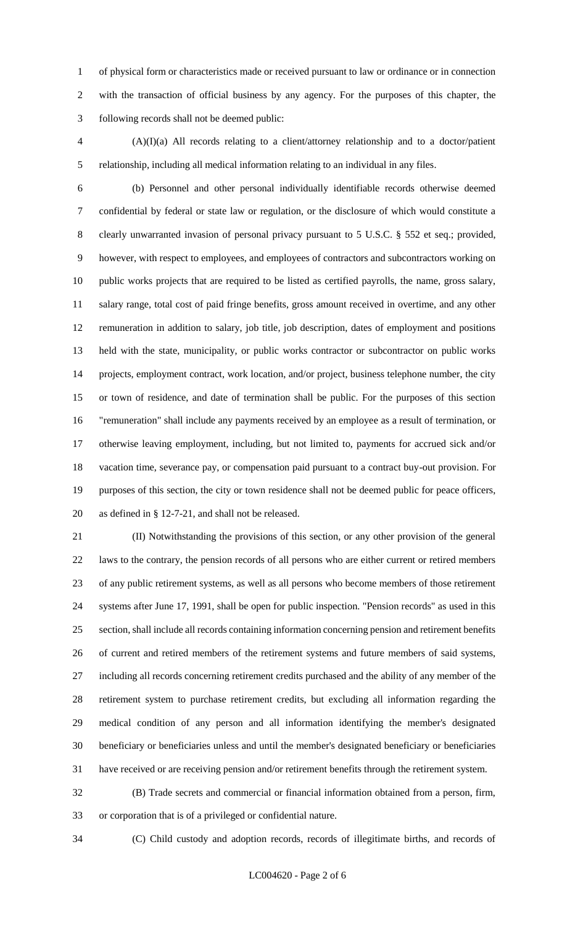of physical form or characteristics made or received pursuant to law or ordinance or in connection with the transaction of official business by any agency. For the purposes of this chapter, the following records shall not be deemed public:

 (A)(I)(a) All records relating to a client/attorney relationship and to a doctor/patient relationship, including all medical information relating to an individual in any files.

 (b) Personnel and other personal individually identifiable records otherwise deemed confidential by federal or state law or regulation, or the disclosure of which would constitute a 8 clearly unwarranted invasion of personal privacy pursuant to 5 U.S.C. § 552 et seq.; provided, however, with respect to employees, and employees of contractors and subcontractors working on public works projects that are required to be listed as certified payrolls, the name, gross salary, salary range, total cost of paid fringe benefits, gross amount received in overtime, and any other remuneration in addition to salary, job title, job description, dates of employment and positions held with the state, municipality, or public works contractor or subcontractor on public works projects, employment contract, work location, and/or project, business telephone number, the city or town of residence, and date of termination shall be public. For the purposes of this section "remuneration" shall include any payments received by an employee as a result of termination, or otherwise leaving employment, including, but not limited to, payments for accrued sick and/or vacation time, severance pay, or compensation paid pursuant to a contract buy-out provision. For purposes of this section, the city or town residence shall not be deemed public for peace officers, as defined in § 12-7-21, and shall not be released.

 (II) Notwithstanding the provisions of this section, or any other provision of the general laws to the contrary, the pension records of all persons who are either current or retired members of any public retirement systems, as well as all persons who become members of those retirement systems after June 17, 1991, shall be open for public inspection. "Pension records" as used in this section, shall include all records containing information concerning pension and retirement benefits of current and retired members of the retirement systems and future members of said systems, including all records concerning retirement credits purchased and the ability of any member of the retirement system to purchase retirement credits, but excluding all information regarding the medical condition of any person and all information identifying the member's designated beneficiary or beneficiaries unless and until the member's designated beneficiary or beneficiaries have received or are receiving pension and/or retirement benefits through the retirement system.

 (B) Trade secrets and commercial or financial information obtained from a person, firm, or corporation that is of a privileged or confidential nature.

(C) Child custody and adoption records, records of illegitimate births, and records of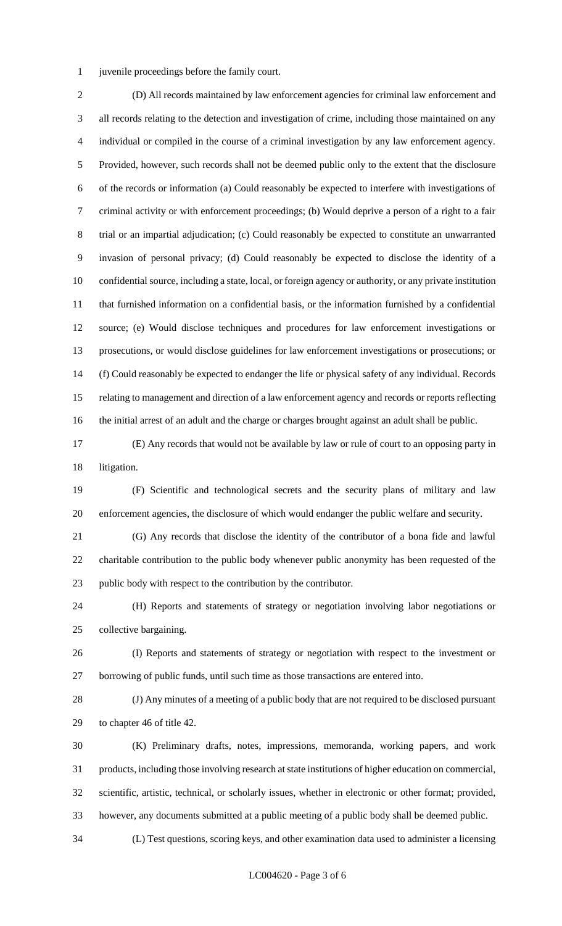juvenile proceedings before the family court.

 (D) All records maintained by law enforcement agencies for criminal law enforcement and all records relating to the detection and investigation of crime, including those maintained on any individual or compiled in the course of a criminal investigation by any law enforcement agency. Provided, however, such records shall not be deemed public only to the extent that the disclosure of the records or information (a) Could reasonably be expected to interfere with investigations of criminal activity or with enforcement proceedings; (b) Would deprive a person of a right to a fair trial or an impartial adjudication; (c) Could reasonably be expected to constitute an unwarranted invasion of personal privacy; (d) Could reasonably be expected to disclose the identity of a confidential source, including a state, local, or foreign agency or authority, or any private institution that furnished information on a confidential basis, or the information furnished by a confidential source; (e) Would disclose techniques and procedures for law enforcement investigations or prosecutions, or would disclose guidelines for law enforcement investigations or prosecutions; or (f) Could reasonably be expected to endanger the life or physical safety of any individual. Records relating to management and direction of a law enforcement agency and records or reports reflecting the initial arrest of an adult and the charge or charges brought against an adult shall be public.

 (E) Any records that would not be available by law or rule of court to an opposing party in litigation.

 (F) Scientific and technological secrets and the security plans of military and law enforcement agencies, the disclosure of which would endanger the public welfare and security.

 (G) Any records that disclose the identity of the contributor of a bona fide and lawful charitable contribution to the public body whenever public anonymity has been requested of the public body with respect to the contribution by the contributor.

 (H) Reports and statements of strategy or negotiation involving labor negotiations or collective bargaining.

 (I) Reports and statements of strategy or negotiation with respect to the investment or borrowing of public funds, until such time as those transactions are entered into.

 (J) Any minutes of a meeting of a public body that are not required to be disclosed pursuant to chapter 46 of title 42.

 (K) Preliminary drafts, notes, impressions, memoranda, working papers, and work products, including those involving research at state institutions of higher education on commercial, scientific, artistic, technical, or scholarly issues, whether in electronic or other format; provided, however, any documents submitted at a public meeting of a public body shall be deemed public.

(L) Test questions, scoring keys, and other examination data used to administer a licensing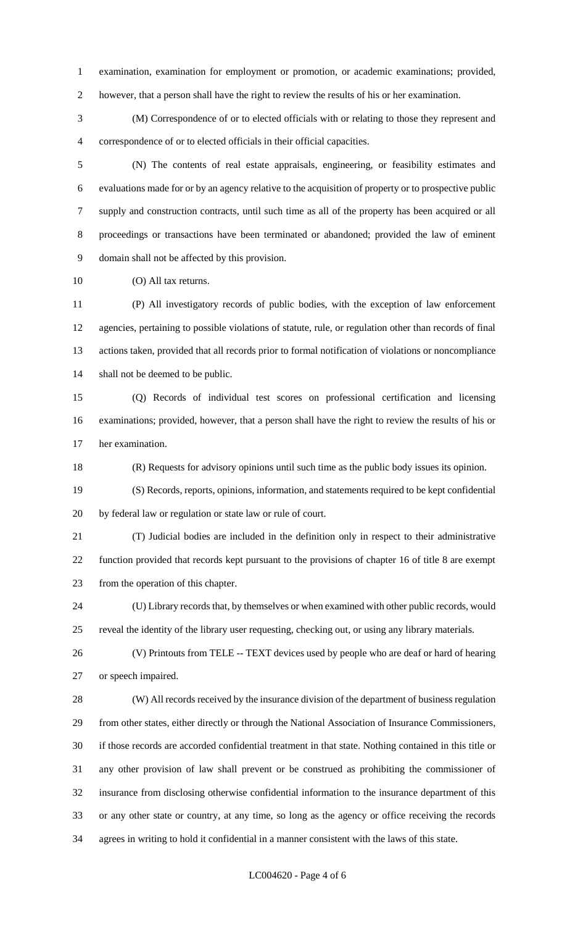examination, examination for employment or promotion, or academic examinations; provided, however, that a person shall have the right to review the results of his or her examination.

 (M) Correspondence of or to elected officials with or relating to those they represent and correspondence of or to elected officials in their official capacities.

 (N) The contents of real estate appraisals, engineering, or feasibility estimates and evaluations made for or by an agency relative to the acquisition of property or to prospective public supply and construction contracts, until such time as all of the property has been acquired or all proceedings or transactions have been terminated or abandoned; provided the law of eminent domain shall not be affected by this provision.

(O) All tax returns.

 (P) All investigatory records of public bodies, with the exception of law enforcement agencies, pertaining to possible violations of statute, rule, or regulation other than records of final actions taken, provided that all records prior to formal notification of violations or noncompliance shall not be deemed to be public.

 (Q) Records of individual test scores on professional certification and licensing examinations; provided, however, that a person shall have the right to review the results of his or her examination.

(R) Requests for advisory opinions until such time as the public body issues its opinion.

 (S) Records, reports, opinions, information, and statements required to be kept confidential by federal law or regulation or state law or rule of court.

 (T) Judicial bodies are included in the definition only in respect to their administrative function provided that records kept pursuant to the provisions of chapter 16 of title 8 are exempt from the operation of this chapter.

 (U) Library records that, by themselves or when examined with other public records, would reveal the identity of the library user requesting, checking out, or using any library materials.

 (V) Printouts from TELE -- TEXT devices used by people who are deaf or hard of hearing or speech impaired.

 (W) All records received by the insurance division of the department of business regulation from other states, either directly or through the National Association of Insurance Commissioners, if those records are accorded confidential treatment in that state. Nothing contained in this title or any other provision of law shall prevent or be construed as prohibiting the commissioner of insurance from disclosing otherwise confidential information to the insurance department of this or any other state or country, at any time, so long as the agency or office receiving the records agrees in writing to hold it confidential in a manner consistent with the laws of this state.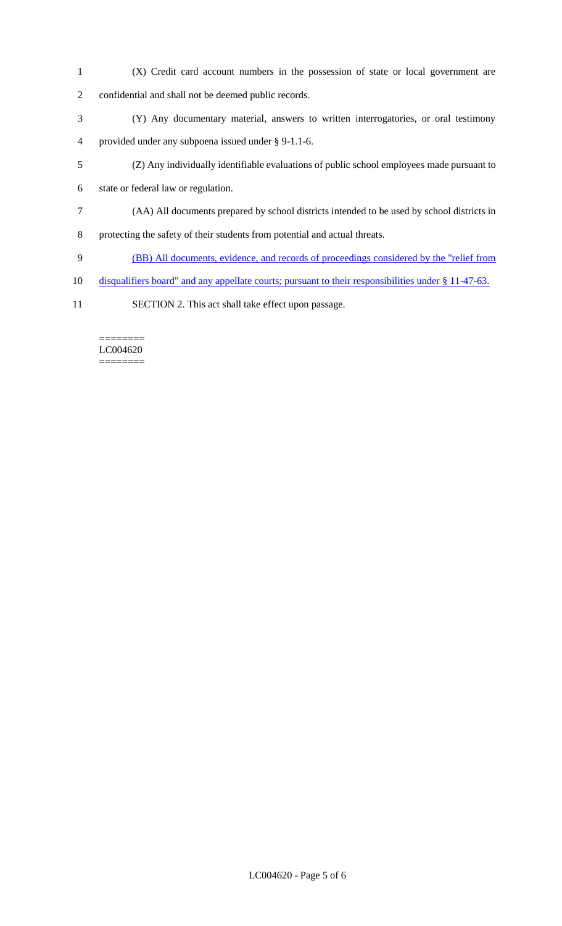- (X) Credit card account numbers in the possession of state or local government are confidential and shall not be deemed public records.
- (Y) Any documentary material, answers to written interrogatories, or oral testimony provided under any subpoena issued under § 9-1.1-6.
- (Z) Any individually identifiable evaluations of public school employees made pursuant to

state or federal law or regulation.

- (AA) All documents prepared by school districts intended to be used by school districts in
- protecting the safety of their students from potential and actual threats.
- (BB) All documents, evidence, and records of proceedings considered by the "relief from
- disqualifiers board" and any appellate courts; pursuant to their responsibilities under § 11-47-63.
- SECTION 2. This act shall take effect upon passage.

======== LC004620 ========